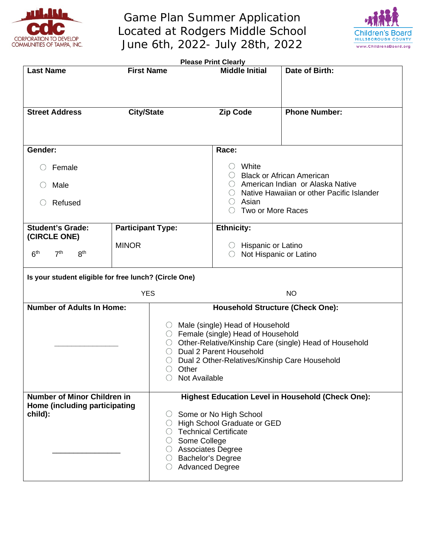

Game Plan Summer Application Located at Rodgers Middle School June 6th, 2022- July 28th, 2022



| <b>Please Print Clearly</b>                                                    |                          |                                                                                                                                                                                                                                                                 |                                                          |                      |  |  |
|--------------------------------------------------------------------------------|--------------------------|-----------------------------------------------------------------------------------------------------------------------------------------------------------------------------------------------------------------------------------------------------------------|----------------------------------------------------------|----------------------|--|--|
| <b>First Name</b><br><b>Last Name</b>                                          |                          |                                                                                                                                                                                                                                                                 | <b>Middle Initial</b>                                    | Date of Birth:       |  |  |
|                                                                                |                          |                                                                                                                                                                                                                                                                 |                                                          |                      |  |  |
| <b>Street Address</b>                                                          | <b>City/State</b>        |                                                                                                                                                                                                                                                                 | <b>Zip Code</b>                                          | <b>Phone Number:</b> |  |  |
|                                                                                |                          |                                                                                                                                                                                                                                                                 |                                                          |                      |  |  |
| Gender:                                                                        |                          |                                                                                                                                                                                                                                                                 | Race:                                                    |                      |  |  |
| Female                                                                         |                          | White<br>$\left(\right)$<br><b>Black or African American</b><br>○ American Indian or Alaska Native<br>Native Hawaiian or other Pacific Islander                                                                                                                 |                                                          |                      |  |  |
| Male<br>O                                                                      |                          |                                                                                                                                                                                                                                                                 |                                                          |                      |  |  |
| Refused<br>$\left(\right)$                                                     |                          |                                                                                                                                                                                                                                                                 | Asian<br>$\bigcirc$<br>Two or More Races                 |                      |  |  |
|                                                                                |                          |                                                                                                                                                                                                                                                                 |                                                          |                      |  |  |
| <b>Student's Grade:</b><br>(CIRCLE ONE)                                        | <b>Participant Type:</b> |                                                                                                                                                                                                                                                                 | <b>Ethnicity:</b>                                        |                      |  |  |
| <b>MINOR</b>                                                                   |                          |                                                                                                                                                                                                                                                                 | <b>Hispanic or Latino</b><br>U<br>Not Hispanic or Latino |                      |  |  |
| 7 <sup>th</sup><br>8 <sup>th</sup><br>6 <sup>th</sup>                          |                          |                                                                                                                                                                                                                                                                 | O                                                        |                      |  |  |
| Is your student eligible for free lunch? (Circle One)                          |                          |                                                                                                                                                                                                                                                                 |                                                          |                      |  |  |
| <b>YES</b>                                                                     |                          |                                                                                                                                                                                                                                                                 | <b>NO</b>                                                |                      |  |  |
| <b>Number of Adults In Home:</b>                                               |                          | <b>Household Structure (Check One):</b>                                                                                                                                                                                                                         |                                                          |                      |  |  |
|                                                                                |                          | ◯ Male (single) Head of Household<br>○ Female (single) Head of Household<br>Other-Relative/Kinship Care (single) Head of Household<br>O.<br>Dual 2 Parent Household<br>○<br>Dual 2 Other-Relatives/Kinship Care Household<br>O<br>Other<br>Not Available        |                                                          |                      |  |  |
| <b>Number of Minor Children in</b><br>Home (including participating<br>child): |                          | <b>Highest Education Level in Household (Check One):</b><br>Some or No High School<br>U.<br>High School Graduate or GED<br>○<br><b>Technical Certificate</b><br>Some College<br>○ Associates Degree<br>○ Bachelor's Degree<br>$\circ$<br><b>Advanced Degree</b> |                                                          |                      |  |  |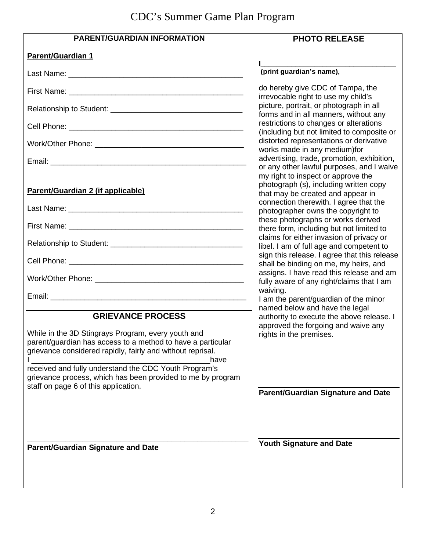# CDC's Summer Game Plan Program

| <b>PARENT/GUARDIAN INFORMATION</b>                                                                                                                                                                                                                                                                                                                                                  | <b>PHOTO RELEASE</b>                                                                                        |
|-------------------------------------------------------------------------------------------------------------------------------------------------------------------------------------------------------------------------------------------------------------------------------------------------------------------------------------------------------------------------------------|-------------------------------------------------------------------------------------------------------------|
| <b>Parent/Guardian 1</b>                                                                                                                                                                                                                                                                                                                                                            |                                                                                                             |
|                                                                                                                                                                                                                                                                                                                                                                                     | (print guardian's name),                                                                                    |
|                                                                                                                                                                                                                                                                                                                                                                                     | do hereby give CDC of Tampa, the<br>irrevocable right to use my child's                                     |
|                                                                                                                                                                                                                                                                                                                                                                                     | picture, portrait, or photograph in all<br>forms and in all manners, without any                            |
|                                                                                                                                                                                                                                                                                                                                                                                     | restrictions to changes or alterations<br>(including but not limited to composite or                        |
|                                                                                                                                                                                                                                                                                                                                                                                     | distorted representations or derivative<br>works made in any medium)for                                     |
|                                                                                                                                                                                                                                                                                                                                                                                     | advertising, trade, promotion, exhibition,<br>or any other lawful purposes, and I waive                     |
|                                                                                                                                                                                                                                                                                                                                                                                     | my right to inspect or approve the                                                                          |
| Parent/Guardian 2 (if applicable)                                                                                                                                                                                                                                                                                                                                                   | photograph (s), including written copy<br>that may be created and appear in                                 |
|                                                                                                                                                                                                                                                                                                                                                                                     | connection therewith. I agree that the<br>photographer owns the copyright to                                |
|                                                                                                                                                                                                                                                                                                                                                                                     | these photographs or works derived<br>there form, including but not limited to                              |
|                                                                                                                                                                                                                                                                                                                                                                                     | claims for either invasion of privacy or<br>libel. I am of full age and competent to                        |
|                                                                                                                                                                                                                                                                                                                                                                                     | sign this release. I agree that this release<br>shall be binding on me, my heirs, and                       |
|                                                                                                                                                                                                                                                                                                                                                                                     | assigns. I have read this release and am<br>fully aware of any right/claims that I am                       |
|                                                                                                                                                                                                                                                                                                                                                                                     | waiving.<br>I am the parent/guardian of the minor                                                           |
|                                                                                                                                                                                                                                                                                                                                                                                     | named below and have the legal                                                                              |
| <b>GRIEVANCE PROCESS</b><br>While in the 3D Stingrays Program, every youth and<br>parent/guardian has access to a method to have a particular<br>grievance considered rapidly, fairly and without reprisal.<br>have<br>received and fully understand the CDC Youth Program's<br>grievance process, which has been provided to me by program<br>staff on page 6 of this application. | authority to execute the above release. I<br>approved the forgoing and waive any<br>rights in the premises. |
|                                                                                                                                                                                                                                                                                                                                                                                     | <b>Parent/Guardian Signature and Date</b>                                                                   |
|                                                                                                                                                                                                                                                                                                                                                                                     |                                                                                                             |
| <b>Parent/Guardian Signature and Date</b>                                                                                                                                                                                                                                                                                                                                           | <b>Youth Signature and Date</b>                                                                             |
|                                                                                                                                                                                                                                                                                                                                                                                     |                                                                                                             |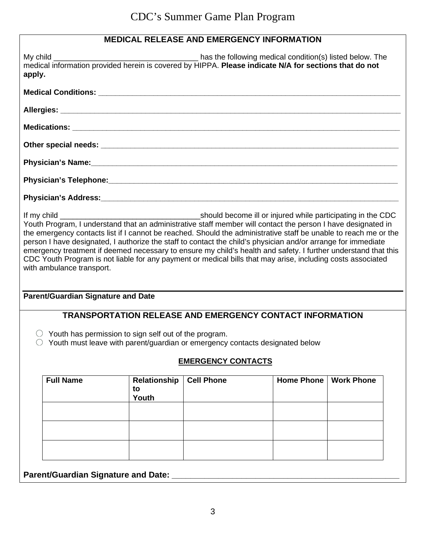# **MEDICAL RELEASE AND EMERGENCY INFORMATION**

| apply.                                                                                                                                                                                                                                                                                                                                                                                                                                                                                                                                                                                                                                                                                                                                                                                                        | medical information provided herein is covered by HIPPA. Please indicate N/A for sections that do not |                                                                 |                   |                   |  |  |  |
|---------------------------------------------------------------------------------------------------------------------------------------------------------------------------------------------------------------------------------------------------------------------------------------------------------------------------------------------------------------------------------------------------------------------------------------------------------------------------------------------------------------------------------------------------------------------------------------------------------------------------------------------------------------------------------------------------------------------------------------------------------------------------------------------------------------|-------------------------------------------------------------------------------------------------------|-----------------------------------------------------------------|-------------------|-------------------|--|--|--|
|                                                                                                                                                                                                                                                                                                                                                                                                                                                                                                                                                                                                                                                                                                                                                                                                               |                                                                                                       |                                                                 |                   |                   |  |  |  |
|                                                                                                                                                                                                                                                                                                                                                                                                                                                                                                                                                                                                                                                                                                                                                                                                               |                                                                                                       |                                                                 |                   |                   |  |  |  |
|                                                                                                                                                                                                                                                                                                                                                                                                                                                                                                                                                                                                                                                                                                                                                                                                               |                                                                                                       |                                                                 |                   |                   |  |  |  |
|                                                                                                                                                                                                                                                                                                                                                                                                                                                                                                                                                                                                                                                                                                                                                                                                               |                                                                                                       |                                                                 |                   |                   |  |  |  |
|                                                                                                                                                                                                                                                                                                                                                                                                                                                                                                                                                                                                                                                                                                                                                                                                               |                                                                                                       |                                                                 |                   |                   |  |  |  |
|                                                                                                                                                                                                                                                                                                                                                                                                                                                                                                                                                                                                                                                                                                                                                                                                               |                                                                                                       |                                                                 |                   |                   |  |  |  |
|                                                                                                                                                                                                                                                                                                                                                                                                                                                                                                                                                                                                                                                                                                                                                                                                               |                                                                                                       |                                                                 |                   |                   |  |  |  |
| Youth Program, I understand that an administrative staff member will contact the person I have designated in<br>the emergency contacts list if I cannot be reached. Should the administrative staff be unable to reach me or the<br>person I have designated, I authorize the staff to contact the child's physician and/or arrange for immediate<br>emergency treatment if deemed necessary to ensure my child's health and safety. I further understand that this<br>CDC Youth Program is not liable for any payment or medical bills that may arise, including costs associated<br>with ambulance transport.<br><b>Parent/Guardian Signature and Date</b><br>$\circ$ Youth has permission to sign self out of the program.<br>Youth must leave with parent/guardian or emergency contacts designated below |                                                                                                       | <b>TRANSPORTATION RELEASE AND EMERGENCY CONTACT INFORMATION</b> |                   |                   |  |  |  |
|                                                                                                                                                                                                                                                                                                                                                                                                                                                                                                                                                                                                                                                                                                                                                                                                               |                                                                                                       | <b>EMERGENCY CONTACTS</b>                                       |                   |                   |  |  |  |
| <b>Full Name</b>                                                                                                                                                                                                                                                                                                                                                                                                                                                                                                                                                                                                                                                                                                                                                                                              | <b>Relationship</b><br>to<br>Youth                                                                    | <b>Cell Phone</b>                                               | <b>Home Phone</b> | <b>Work Phone</b> |  |  |  |
| <b>Parent/Guardian Signature and Date:</b>                                                                                                                                                                                                                                                                                                                                                                                                                                                                                                                                                                                                                                                                                                                                                                    |                                                                                                       |                                                                 |                   |                   |  |  |  |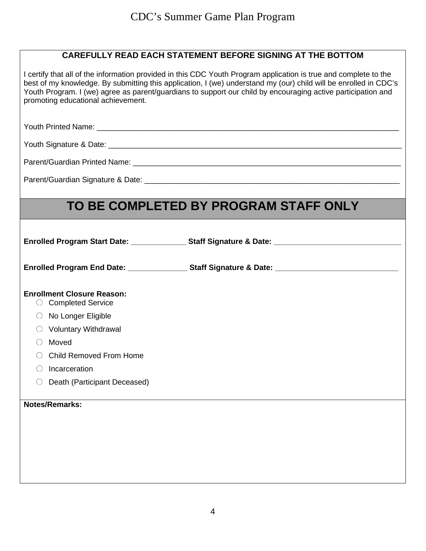| promoting educational achievement.                                  | I certify that all of the information provided in this CDC Youth Program application is true and complete to the<br>best of my knowledge. By submitting this application, I (we) understand my (our) child will be enrolled in CDC's<br>Youth Program. I (we) agree as parent/guardians to support our child by encouraging active participation and |
|---------------------------------------------------------------------|------------------------------------------------------------------------------------------------------------------------------------------------------------------------------------------------------------------------------------------------------------------------------------------------------------------------------------------------------|
|                                                                     |                                                                                                                                                                                                                                                                                                                                                      |
|                                                                     |                                                                                                                                                                                                                                                                                                                                                      |
|                                                                     |                                                                                                                                                                                                                                                                                                                                                      |
|                                                                     |                                                                                                                                                                                                                                                                                                                                                      |
|                                                                     | TO BE COMPLETED BY PROGRAM STAFF ONLY                                                                                                                                                                                                                                                                                                                |
|                                                                     | Enrolled Program Start Date: ________________Staff Signature & Date: _______________________________                                                                                                                                                                                                                                                 |
|                                                                     | Enrolled Program End Date: ___________________Staff Signature & Date: ______________________________                                                                                                                                                                                                                                                 |
| <b>Enrollment Closure Reason:</b><br><b>Completed Service</b><br>O. |                                                                                                                                                                                                                                                                                                                                                      |
| $\circ$ No Longer Eligible                                          |                                                                                                                                                                                                                                                                                                                                                      |
| $\circ$ Voluntary Withdrawal                                        |                                                                                                                                                                                                                                                                                                                                                      |
| Moved<br>○                                                          |                                                                                                                                                                                                                                                                                                                                                      |
| <b>Child Removed From Home</b>                                      |                                                                                                                                                                                                                                                                                                                                                      |
| Incarceration                                                       |                                                                                                                                                                                                                                                                                                                                                      |
| Death (Participant Deceased)                                        |                                                                                                                                                                                                                                                                                                                                                      |
| <b>Notes/Remarks:</b>                                               |                                                                                                                                                                                                                                                                                                                                                      |
|                                                                     |                                                                                                                                                                                                                                                                                                                                                      |
|                                                                     |                                                                                                                                                                                                                                                                                                                                                      |
|                                                                     |                                                                                                                                                                                                                                                                                                                                                      |
|                                                                     |                                                                                                                                                                                                                                                                                                                                                      |
|                                                                     |                                                                                                                                                                                                                                                                                                                                                      |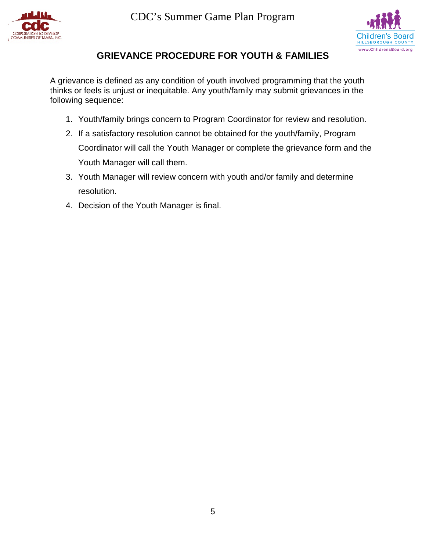



### **GRIEVANCE PROCEDURE FOR YOUTH & FAMILIES**

A grievance is defined as any condition of youth involved programming that the youth thinks or feels is unjust or inequitable. Any youth/family may submit grievances in the following sequence:

- 1. Youth/family brings concern to Program Coordinator for review and resolution.
- 2. If a satisfactory resolution cannot be obtained for the youth/family, Program Coordinator will call the Youth Manager or complete the grievance form and the Youth Manager will call them.
- 3. Youth Manager will review concern with youth and/or family and determine resolution.
- 4. Decision of the Youth Manager is final.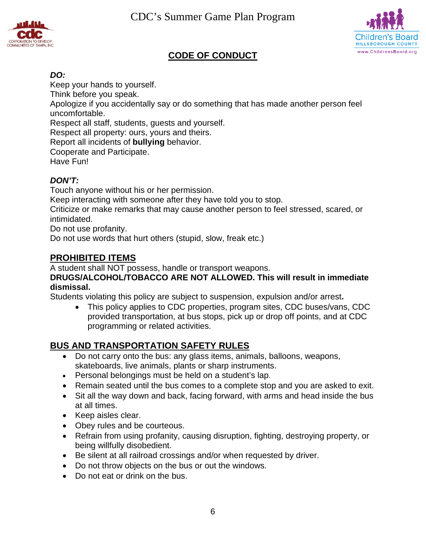CDC's Summer Game Plan Program





### **CODE OF CONDUCT**

#### *DO:*

Keep your hands to yourself. Think before you speak. Apologize if you accidentally say or do something that has made another person feel uncomfortable. Respect all staff, students, guests and yourself. Respect all property: ours, yours and theirs. Report all incidents of **bullying** behavior. Cooperate and Participate. Have Fun!

#### *DON'T:*

Touch anyone without his or her permission.

Keep interacting with someone after they have told you to stop.

Criticize or make remarks that may cause another person to feel stressed, scared, or intimidated.

Do not use profanity.

Do not use words that hurt others (stupid, slow, freak etc.)

### **PROHIBITED ITEMS**

A student shall NOT possess, handle or transport weapons.

#### **DRUGS/ALCOHOL/TOBACCO ARE NOT ALLOWED. This will result in immediate dismissal.**

Students violating this policy are subject to suspension, expulsion and/or arrest**.** 

• This policy applies to CDC properties, program sites, CDC buses/vans, CDC provided transportation, at bus stops, pick up or drop off points, and at CDC programming or related activities.

#### **BUS AND TRANSPORTATION SAFETY RULES**

- Do not carry onto the bus: any glass items, animals, balloons, weapons, skateboards, live animals, plants or sharp instruments.
- Personal belongings must be held on a student's lap.
- Remain seated until the bus comes to a complete stop and you are asked to exit.
- Sit all the way down and back, facing forward, with arms and head inside the bus at all times.
- Keep aisles clear.
- Obey rules and be courteous.
- Refrain from using profanity, causing disruption, fighting, destroying property, or being willfully disobedient.
- Be silent at all railroad crossings and/or when requested by driver.
- Do not throw objects on the bus or out the windows.
- Do not eat or drink on the bus.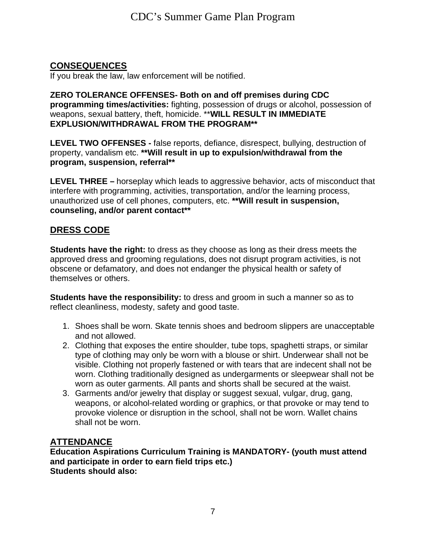# **CONSEQUENCES**

If you break the law, law enforcement will be notified.

#### **ZERO TOLERANCE OFFENSES- Both on and off premises during CDC programming times/activities:** fighting, possession of drugs or alcohol, possession of weapons, sexual battery, theft, homicide. \*\***WILL RESULT IN IMMEDIATE EXPLUSION/WITHDRAWAL FROM THE PROGRAM\*\***

**LEVEL TWO OFFENSES -** false reports, defiance, disrespect, bullying, destruction of property, vandalism etc. **\*\*Will result in up to expulsion/withdrawal from the program, suspension, referral\*\***

**LEVEL THREE –** horseplay which leads to aggressive behavior, acts of misconduct that interfere with programming, activities, transportation, and/or the learning process, unauthorized use of cell phones, computers, etc. **\*\*Will result in suspension, counseling, and/or parent contact\*\***

### **DRESS CODE**

**Students have the right:** to dress as they choose as long as their dress meets the approved dress and grooming regulations, does not disrupt program activities, is not obscene or defamatory, and does not endanger the physical health or safety of themselves or others.

**Students have the responsibility:** to dress and groom in such a manner so as to reflect cleanliness, modesty, safety and good taste.

- 1. Shoes shall be worn. Skate tennis shoes and bedroom slippers are unacceptable and not allowed.
- 2. Clothing that exposes the entire shoulder, tube tops, spaghetti straps, or similar type of clothing may only be worn with a blouse or shirt. Underwear shall not be visible. Clothing not properly fastened or with tears that are indecent shall not be worn. Clothing traditionally designed as undergarments or sleepwear shall not be worn as outer garments. All pants and shorts shall be secured at the waist.
- 3. Garments and/or jewelry that display or suggest sexual, vulgar, drug, gang, weapons, or alcohol-related wording or graphics, or that provoke or may tend to provoke violence or disruption in the school, shall not be worn. Wallet chains shall not be worn.

### **ATTENDANCE**

**Education Aspirations Curriculum Training is MANDATORY- (youth must attend and participate in order to earn field trips etc.) Students should also:**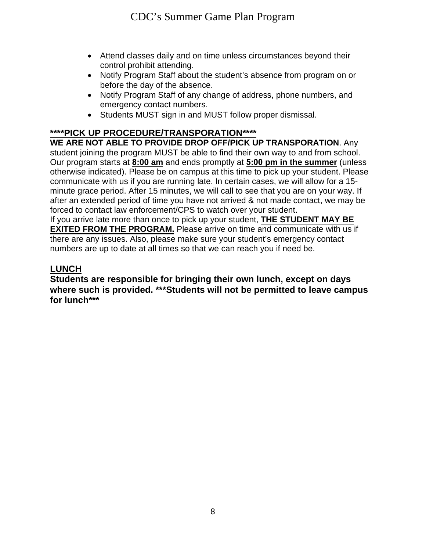- Attend classes daily and on time unless circumstances beyond their control prohibit attending.
- Notify Program Staff about the student's absence from program on or before the day of the absence.
- Notify Program Staff of any change of address, phone numbers, and emergency contact numbers.
- Students MUST sign in and MUST follow proper dismissal.

### **\*\*\*\*PICK UP PROCEDURE/TRANSPORATION\*\*\*\***

**WE ARE NOT ABLE TO PROVIDE DROP OFF/PICK UP TRANSPORATION**. Any student joining the program MUST be able to find their own way to and from school. Our program starts at **8:00 am** and ends promptly at **5:00 pm in the summer** (unless otherwise indicated). Please be on campus at this time to pick up your student. Please communicate with us if you are running late. In certain cases, we will allow for a 15 minute grace period. After 15 minutes, we will call to see that you are on your way. If after an extended period of time you have not arrived & not made contact, we may be forced to contact law enforcement/CPS to watch over your student.

If you arrive late more than once to pick up your student, **THE STUDENT MAY BE EXITED FROM THE PROGRAM.** Please arrive on time and communicate with us if there are any issues. Also, please make sure your student's emergency contact numbers are up to date at all times so that we can reach you if need be.

### **LUNCH**

**Students are responsible for bringing their own lunch, except on days where such is provided. \*\*\*Students will not be permitted to leave campus for lunch\*\*\***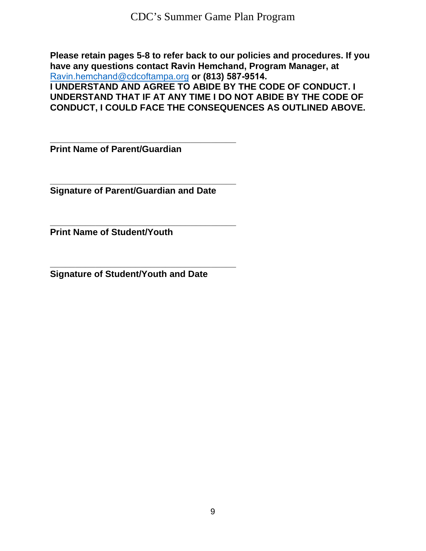**Please retain pages 5-8 to refer back to our policies and procedures. If you have any questions contact Ravin Hemchand, Program Manager, at**  Ravin.hemchand[@cdcoftampa.org](mailto:alisha.galdames@cdcoftampa.org) **or (813) 587-9514.** 

**I UNDERSTAND AND AGREE TO ABIDE BY THE CODE OF CONDUCT. I UNDERSTAND THAT IF AT ANY TIME I DO NOT ABIDE BY THE CODE OF CONDUCT, I COULD FACE THE CONSEQUENCES AS OUTLINED ABOVE.** 

**\_\_\_\_\_\_\_\_\_\_\_\_\_\_\_\_\_\_\_\_\_\_\_\_\_\_\_\_\_\_\_\_\_\_\_\_\_ Print Name of Parent/Guardian** 

**\_\_\_\_\_\_\_\_\_\_\_\_\_\_\_\_\_\_\_\_\_\_\_\_\_\_\_\_\_\_\_\_\_\_\_\_\_ Signature of Parent/Guardian and Date** 

**\_\_\_\_\_\_\_\_\_\_\_\_\_\_\_\_\_\_\_\_\_\_\_\_\_\_\_\_\_\_\_\_\_\_\_\_\_ Print Name of Student/Youth** 

**\_\_\_\_\_\_\_\_\_\_\_\_\_\_\_\_\_\_\_\_\_\_\_\_\_\_\_\_\_\_\_\_\_\_\_\_\_ Signature of Student/Youth and Date**